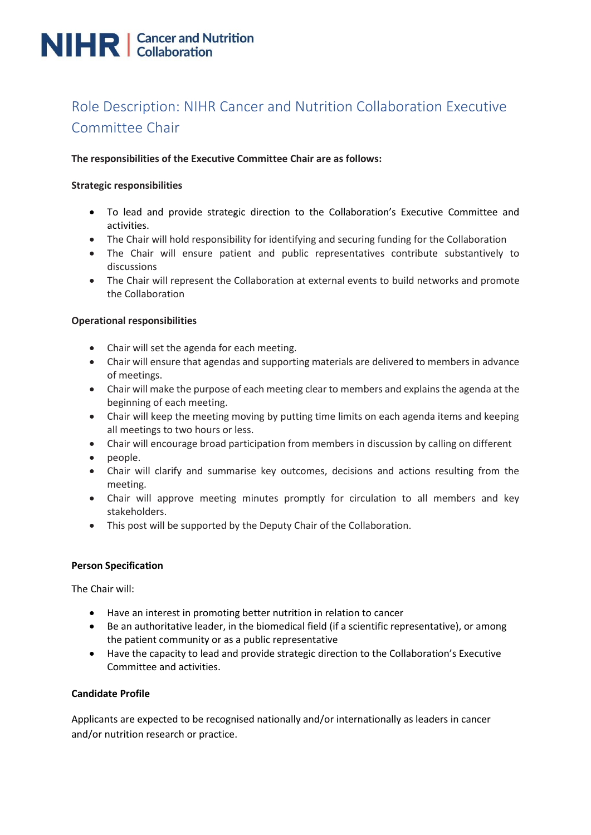# **NIHR** | Cancer and Nutrition

# Role Description: NIHR Cancer and Nutrition Collaboration Executive Committee Chair

# **The responsibilities of the Executive Committee Chair are as follows:**

#### **Strategic responsibilities**

- To lead and provide strategic direction to the Collaboration's Executive Committee and activities.
- The Chair will hold responsibility for identifying and securing funding for the Collaboration
- The Chair will ensure patient and public representatives contribute substantively to discussions
- The Chair will represent the Collaboration at external events to build networks and promote the Collaboration

# **Operational responsibilities**

- Chair will set the agenda for each meeting.
- Chair will ensure that agendas and supporting materials are delivered to members in advance of meetings.
- Chair will make the purpose of each meeting clear to members and explains the agenda at the beginning of each meeting.
- Chair will keep the meeting moving by putting time limits on each agenda items and keeping all meetings to two hours or less.
- Chair will encourage broad participation from members in discussion by calling on different
- people.
- Chair will clarify and summarise key outcomes, decisions and actions resulting from the meeting.
- Chair will approve meeting minutes promptly for circulation to all members and key stakeholders.
- This post will be supported by the Deputy Chair of the Collaboration.

#### **Person Specification**

The Chair will:

- Have an interest in promoting better nutrition in relation to cancer
- Be an authoritative leader, in the biomedical field (if a scientific representative), or among the patient community or as a public representative
- Have the capacity to lead and provide strategic direction to the Collaboration's Executive Committee and activities.

#### **Candidate Profile**

Applicants are expected to be recognised nationally and/or internationally as leaders in cancer and/or nutrition research or practice.